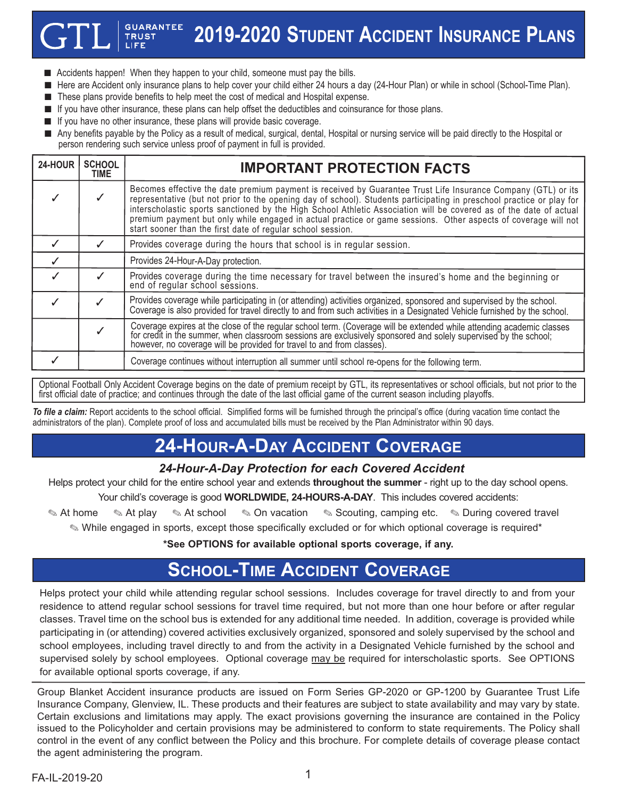#### **GUARANTEE 2019-2020 STUDENT ACCIDENT INSURANCE PLANS**

- $\blacksquare$  Accidents happen! When they happen to your child, someone must pay the bills.
- n Here are Accident only insurance plans to help cover your child either 24 hours a day (24-Hour Plan) or while in school (School-Time Plan).
- These plans provide benefits to help meet the cost of medical and Hospital expense.
- **n** If you have other insurance, these plans can help offset the deductibles and coinsurance for those plans.
- **n** If you have no other insurance, these plans will provide basic coverage.

**TRUST** 

n Any benefits payable by the Policy as a result of medical, surgical, dental, Hospital or nursing service will be paid directly to the Hospital or person rendering such service unless proof of payment in full is provided.

| 24-HOUR | <b>SCHOOL</b><br>TIME | <b>IMPORTANT PROTECTION FACTS</b>                                                                                                                                                                                                                                                                                                                                                                                                                                                                                                             |
|---------|-----------------------|-----------------------------------------------------------------------------------------------------------------------------------------------------------------------------------------------------------------------------------------------------------------------------------------------------------------------------------------------------------------------------------------------------------------------------------------------------------------------------------------------------------------------------------------------|
|         |                       | Becomes effective the date premium payment is received by Guarantee Trust Life Insurance Company (GTL) or its<br>representative (but not prior to the opening day of school). Students participating in preschool practice or play for<br>interscholastic sports sanctioned by the High School Athletic Association will be covered as of the date of actual<br>premium payment but only while engaged in actual practice or game sessions. Other aspects of coverage will not<br>start sooner than the first date of regular school session. |
|         |                       | Provides coverage during the hours that school is in regular session.                                                                                                                                                                                                                                                                                                                                                                                                                                                                         |
|         |                       | Provides 24-Hour-A-Day protection.                                                                                                                                                                                                                                                                                                                                                                                                                                                                                                            |
|         |                       | Provides coverage during the time necessary for travel between the insured's home and the beginning or<br>end of regular school sessions.                                                                                                                                                                                                                                                                                                                                                                                                     |
|         |                       | Provides coverage while participating in (or attending) activities organized, sponsored and supervised by the school.<br>Coverage is also provided for travel directly to and from such activities in a Designated Vehicle furnished by the school.                                                                                                                                                                                                                                                                                           |
|         |                       | Coverage expires at the close of the regular school term. (Coverage will be extended while attending academic classes for credit in the summer, when classroom sessions are exclusively sponsored and solely supervised by the<br>however, no coverage will be provided for travel to and from classes).                                                                                                                                                                                                                                      |
|         |                       | Coverage continues without interruption all summer until school re-opens for the following term.                                                                                                                                                                                                                                                                                                                                                                                                                                              |

Optional Football Only Accident Coverage begins on the date of premium receipt by GTL, its representatives or school officials, but not prior to the first official date of practice; and continues through the date of the last official game of the current season including playoffs.

*To file a claim:* Report accidents to the school official. Simplified forms will be furnished through the principal's office (during vacation time contact the administrators of the plan). Complete proof of loss and accumulated bills must be received by the Plan Administrator within 90 days.

# **24-HOUR-A-DAY ACCIDENT COVERAGE**

#### *24-Hour-A-Day Protection for each Covered Accident*

Helps protect your child for the entire school year and extends **throughout the summer** - right up to the day school opens.

Your child's coverage is good **WORLDWIDE, 24-HOURS-A-DAY**. This includes covered accidents:

**At home . At play . At school . On vacation . Scouting, camping etc. . During covered travel .** 

. While engaged in sports, except those specifically excluded or for which optional coverage is required\*

**\*See OPTIONS for available optional sports coverage, if any.**

## **SCHOOL-TIME ACCIDENT COVERAGE**

Helps protect your child while attending regular school sessions. Includes coverage for travel directly to and from your residence to attend regular school sessions for travel time required, but not more than one hour before or after regular classes. Travel time on the school bus is extended for any additional time needed. In addition, coverage is provided while participating in (or attending) covered activities exclusively organized, sponsored and solely supervised by the school and school employees, including travel directly to and from the activity in a Designated Vehicle furnished by the school and supervised solely by school employees. Optional coverage may be required for interscholastic sports. See OPTIONS for available optional sports coverage, if any.

Group Blanket Accident insurance products are issued on Form Series GP-2020 or GP-1200 by Guarantee Trust Life Insurance Company, Glenview, IL. These products and their features are subject to state availability and may vary by state. Certain exclusions and limitations may apply. The exact provisions governing the insurance are contained in the Policy issued to the Policyholder and certain provisions may be administered to conform to state requirements. The Policy shall control in the event of any conflict between the Policy and this brochure. For complete details of coverage please contact the agent administering the program.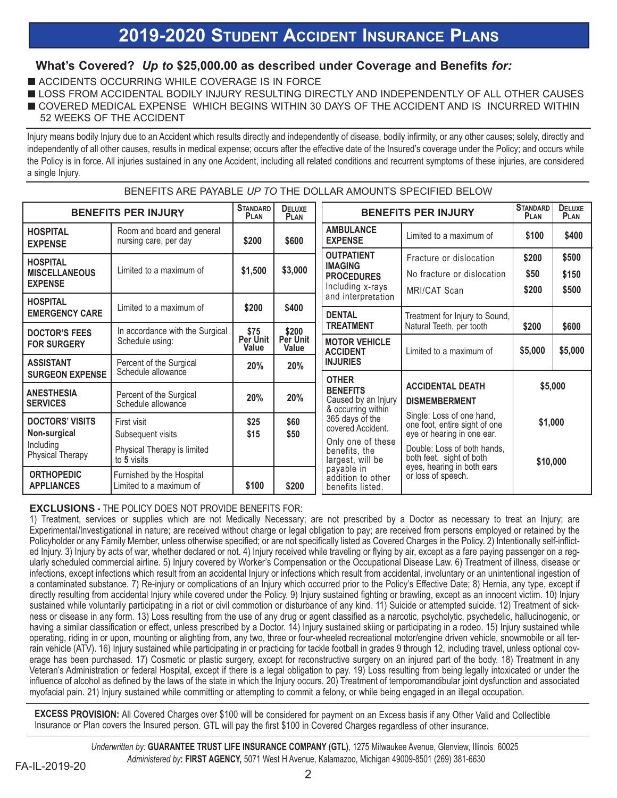## **2019-2020 STUDENT ACCIDENT INSURANCE PLANS**

#### **What's Covered?** *Up to* **\$25,000.00 as described under Coverage and Benefits** *for:*

- **N ACCIDENTS OCCURRING WHILE COVERAGE IS IN FORCE**
- LOSS FROM ACCIDENTAL BODILY INJURY RESULTING DIRECTLY AND INDEPENDENTLY OF ALL OTHER CAUSES
- **OUVERED MEDICAL EXPENSE WHICH BEGINS WITHIN 30 DAYS OF THE ACCIDENT AND IS INCURRED WITHIN** 52 WEEKS OF THE ACCIDENT

Injury means bodily Injury due to an Accident which results directly and independently of disease, bodily infirmity, or any other causes; solely, directly and independently of all other causes, results in medical expense; occurs after the effective date of the Insured's coverage under the Policy; and occurs while the Policy is in force. All injuries sustained in any one Accident, including all related conditions and recurrent symptoms of these injuries, are considered a single Injury.

BENEFITS ARE PAYABLE *UP TO* THE DOLLAR AMOUNTS SPECIFIED BELOW

| <b>BENEFITS PER INJURY</b>                                                                  | <b>STANDARD</b><br><b>PLAN</b>                                                 | <b>DELUXE</b><br><b>PLAN</b> | <b>BENEFITS PER INJURY</b> |                                                                                                                                                                                                                                       | <b>STANDARD</b><br><b>PLAN</b>                                                                                                                      | <b>DELUXE</b><br>PLAN          |                         |
|---------------------------------------------------------------------------------------------|--------------------------------------------------------------------------------|------------------------------|----------------------------|---------------------------------------------------------------------------------------------------------------------------------------------------------------------------------------------------------------------------------------|-----------------------------------------------------------------------------------------------------------------------------------------------------|--------------------------------|-------------------------|
| <b>HOSPITAL</b><br><b>EXPENSE</b>                                                           | Room and board and general<br>nursing care, per day                            | \$200                        | \$600                      | <b>AMBULANCE</b><br><b>EXPENSE</b>                                                                                                                                                                                                    | Limited to a maximum of                                                                                                                             | \$100                          | \$400                   |
| <b>HOSPITAL</b><br><b>MISCELLANEOUS</b><br><b>EXPENSE</b>                                   | Limited to a maximum of                                                        | \$1,500                      | \$3,000                    | <b>OUTPATIENT</b><br><b>IMAGING</b><br><b>PROCEDURES</b><br>Including x-rays                                                                                                                                                          | Fracture or dislocation<br>No fracture or dislocation<br>MRI/CAT Scan                                                                               | \$200<br>\$50<br>\$200         | \$500<br>\$150<br>\$500 |
| <b>HOSPITAL</b><br><b>EMERGENCY CARE</b>                                                    | Limited to a maximum of                                                        | \$200                        | \$400                      | and interpretation<br><b>DENTAL</b>                                                                                                                                                                                                   | Treatment for Injury to Sound,                                                                                                                      |                                |                         |
| <b>DOCTOR'S FEES</b><br><b>FOR SURGERY</b>                                                  | In accordance with the Surgical<br>Schedule using:                             | \$75<br>Per Unit<br>Value    | \$200<br>Per Unit<br>Value | <b>TREATMENT</b><br><b>MOTOR VEHICLE</b>                                                                                                                                                                                              | Natural Teeth, per tooth<br>Limited to a maximum of                                                                                                 | \$200<br>\$5,000               | \$600<br>\$5,000        |
| <b>ASSISTANT</b><br>Percent of the Surgical<br>Schedule allowance<br><b>SURGEON EXPENSE</b> |                                                                                | 20%                          | 20%                        | <b>ACCIDENT</b><br><b>INJURIES</b>                                                                                                                                                                                                    |                                                                                                                                                     |                                |                         |
| <b>ANESTHESIA</b><br><b>SERVICES</b>                                                        | Percent of the Surgical<br>Schedule allowance                                  | 20%                          | 20%                        | <b>OTHER</b><br><b>BENEFITS</b><br>Caused by an Injury<br>& occurring within<br>365 days of the<br>covered Accident.<br>Only one of these<br>benefits, the<br>largest, will be<br>payable in<br>addition to other<br>benefits listed. | <b>ACCIDENTAL DEATH</b><br><b>DISMEMBERMENT</b>                                                                                                     | \$5,000<br>\$1,000<br>\$10,000 |                         |
| <b>DOCTORS' VISITS</b><br>Non-surgical<br>Including<br><b>Physical Therapy</b>              | First visit<br>Subsequent visits<br>Physical Therapy is limited<br>to 5 visits | \$25<br>\$15                 | \$60<br>\$50               |                                                                                                                                                                                                                                       | Single: Loss of one hand,<br>one foot, entire sight of one<br>eye or hearing in one ear.<br>Double: Loss of both hands,<br>both feet, sight of both |                                |                         |
| <b>ORTHOPEDIC</b><br><b>APPLIANCES</b>                                                      | Furnished by the Hospital<br>Limited to a maximum of                           | \$100                        | \$200                      |                                                                                                                                                                                                                                       | eyes, hearing in both ears<br>or loss of speech.                                                                                                    |                                |                         |

#### **EXCLUSIONS -** THE POLICY DOES NOT PROVIDE BENEFITS FOR:

1) Treatment, services or supplies which are not Medically Necessary; are not prescribed by a Doctor as necessary to treat an Injury; are Experimental/Investigational in nature; are received without charge or legal obligation to pay; are received from persons employed or retained by the Policyholder or any Family Member, unless otherwise specified; or are not specifically listed as Covered Charges in the Policy. 2) Intentionally self-inflicted Injury. 3) Injury by acts of war, whether declared or not. 4) Injury received while traveling or flying by air, except as a fare paying passenger on a regularly scheduled commercial airline. 5) Injury covered by Worker's Compensation or the Occupational Disease Law. 6) Treatment of illness, disease or infections, except infections which result from an accidental Injury or infections which result from accidental, involuntary or an unintentional ingestion of a contaminated substance. 7) Re-injury or complications of an Injury which occurred prior to the Policy's Effective Date; 8) Hernia, any type, except if directly resulting from accidental Injury while covered under the Policy. 9) Injury sustained fighting or brawling, except as an innocent victim. 10) Injury sustained while voluntarily participating in a riot or civil commotion or disturbance of any kind. 11) Suicide or attempted suicide. 12) Treatment of sickness or disease in any form. 13) Loss resulting from the use of any drug or agent classified as a narcotic, psycholytic, psychedelic, hallucinogenic, or having a similar classification or effect, unless prescribed by a Doctor. 14) Injury sustained skiing or participating in a rodeo. 15) Injury sustained while operating, riding in or upon, mounting or alighting from, any two, three or four-wheeled recreational motor/engine driven vehicle, snowmobile or all terrain vehicle (ATV). 16) Injury sustained while participating in or practicing for tackle football in grades 9 through 12, including travel, unless optional coverage has been purchased. 17) Cosmetic or plastic surgery, except for reconstructive surgery on an injured part of the body. 18) Treatment in any Veteran's Administration or federal Hospital, except if there is a legal obligation to pay. 19) Loss resulting from being legally intoxicated or under the influence of alcohol as defined by the laws of the state in which the Injury occurs. 20) Treatment of temporomandibular joint dysfunction and associated myofacial pain. 21) Injury sustained while committing or attempting to commit a felony, or while being engaged in an illegal occupation.

**EXCESS PROVISION:** All Covered Charges over \$100 will be considered for payment on an Excess basis if any Other Valid and Collectible Insurance or Plan covers the Insured person. GTL will pay the first \$100 in Covered Charges regardless of other insurance.

FA-IL-2019-20 **Exaministered by:** The TROCK ROOM, 3071 West HAVENUE *Underwritten by:* **GUARANTEE TRUST LIFE INSURANCE COMPANY (GTL)**, 1275 Milwaukee Avenue, Glenview, Illinois 60025 *Administered by***: FIRST AGENCY,** 5071 West H Avenue, Kalamazoo, Michigan 49009-8501 (269) 381-6630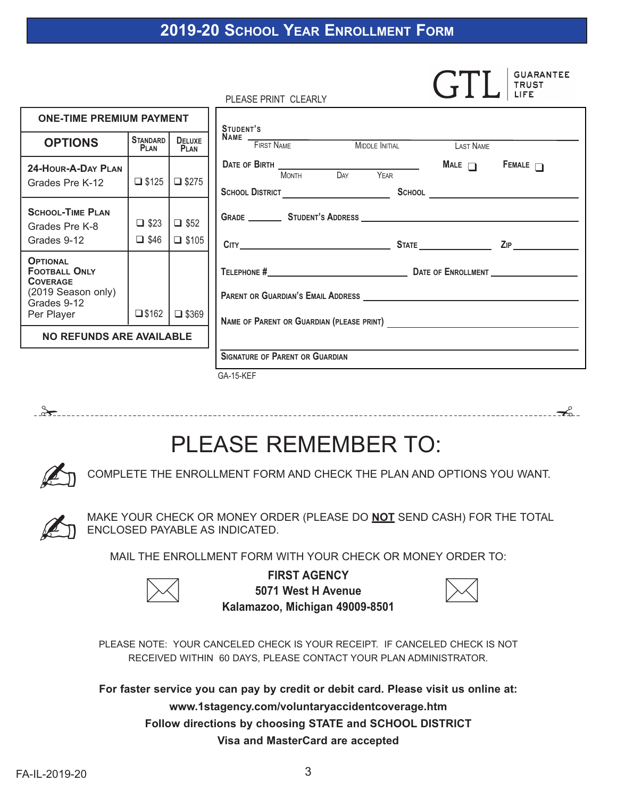## **2019-20 SCHOOL YEAR ENROLLMENT FORM**

|                                                                                                               |                                        |                              | <b>TRUST</b><br>LIFE<br>PLEASE PRINT CLEARLY                                                                |
|---------------------------------------------------------------------------------------------------------------|----------------------------------------|------------------------------|-------------------------------------------------------------------------------------------------------------|
| <b>ONE-TIME PREMIUM PAYMENT</b>                                                                               |                                        |                              | STUDENT'S                                                                                                   |
| <b>OPTIONS</b>                                                                                                | <b>STANDARD</b><br>PLAN                | <b>DELUXE</b><br><b>PLAN</b> | NAME FIRST NAME MIDDLE INITIAL LAST NAME                                                                    |
| 24-HOUR-A-DAY PLAN<br>Grades Pre K-12                                                                         | $\Box$ \$125                           | $\Box$ \$275                 | <b>DATE OF BIRTH</b><br>MONTH DAY YEAR<br>MALE $\Box$ FEMALE $\Box$<br>SCHOOL DISTRICT <b>SCHOOL</b> SCHOOL |
| <b>SCHOOL-TIME PLAN</b><br>Grades Pre K-8<br>Grades 9-12                                                      | $\Box$ \$23 $\Box$ \$52<br>$\Box$ \$46 | $\Box$ \$105                 | ZIP                                                                                                         |
| <b>OPTIONAL</b><br><b>FOOTBALL ONLY</b><br><b>COVERAGE</b><br>(2019 Season only)<br>Grades 9-12<br>Per Player | $\square$ \$162                        | $\Box$ \$369                 |                                                                                                             |
| NO REFUNDS ARE AVAILABLE                                                                                      |                                        |                              | <b>SIGNATURE OF PARENT OR GUARDIAN</b>                                                                      |
|                                                                                                               |                                        |                              | GA-15-KEF                                                                                                   |

! !

# PLEASE REMEMBER TO:

 $\mathbb{Z}$ COMPLETE THE ENROLLMENT FORM AND CHECK THE PLAN AND OPTIONS YOU WANT.

- MAKE YOUR CHECK OR MONEY ORDER (PLEASE DO **NOT** SEND CASH) FOR THE TOTAL ENCLOSED PAYABLE AS INDICATED.

MAIL THE ENROLLMENT FORM WITH YOUR CHECK OR MONEY ORDER TO:



**FIRST AGENCY 5071 West H Avenue Kalamazoo, Michigan 49009-8501**



PLEASE NOTE: YOUR CANCELED CHECK IS YOUR RECEIPT. IF CANCELED CHECK IS NOT RECEIVED WITHIN 60 DAYS, PLEASE CONTACT YOUR PLAN ADMINISTRATOR.

**For faster service you can pay by credit or debit card. Please visit us online at: www.1stagency.com/voluntaryaccidentcoverage.htm Follow directions by choosing STATE and SCHOOL DISTRICT Visa and MasterCard are accepted**